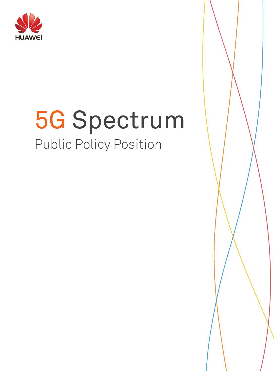

# 5G Spectrum Public Policy Position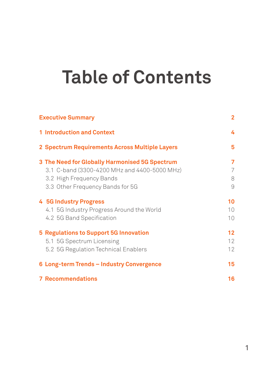## **table of contents**

| <b>Executive Summary</b>                       |                 |  |
|------------------------------------------------|-----------------|--|
| <b>1 Introduction and Context</b>              | 4               |  |
| 2 Spectrum Requirements Across Multiple Layers | 5               |  |
| 3 The Need for Globally Harmonised 5G Spectrum | 7               |  |
| 3.1 C-band (3300-4200 MHz and 4400-5000 MHz)   | 7               |  |
| 3.2 High Frequency Bands                       | 8               |  |
| 3.3 Other Frequency Bands for 5G               | 9               |  |
| <b>4 5G Industry Progress</b>                  | 10              |  |
| 4.1 5G Industry Progress Around the World      | 10 <sup>°</sup> |  |
| 4.2 5G Band Specification                      | 10 <sup>°</sup> |  |
| <b>5 Regulations to Support 5G Innovation</b>  | 12              |  |
| 5.1 5G Spectrum Licensing                      | 12              |  |
| 5.2 5G Regulation Technical Enablers           | 12              |  |
| 6 Long-term Trends - Industry Convergence      | 15              |  |
| <b>7 Recommendations</b>                       | 16              |  |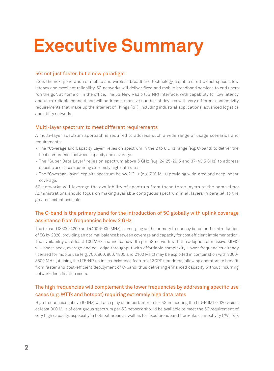## **Executive Summary**

### 5G: not just faster, but a new paradigm

5G is the next generation of mobile and wireless broadband technology, capable of ultra-fast speeds, low latency and excellent reliability. 5G networks will deliver fixed and mobile broadband services to end users "on the go", at home or in the office. The 5G New Radio (5G NR) interface, with capability for low latency and ultra-reliable connections will address a massive number of devices with very different connectivity requirements that make up the Internet of Things (IoT), including industrial applications, advanced logistics and utility networks.

### Multi-layer spectrum to meet different requirements

A multi-layer spectrum approach is required to address such a wide range of usage scenarios and requirements:

- The "Coverage and Capacity Layer" relies on spectrum in the 2 to 6 GHz range (e.g. C-band) to deliver the best compromise between capacity and coverage.
- The "Super Data Layer" relies on spectrum above 6 GHz (e.g. 24.25-29.5 and 37-43.5 GHz) to address specific use cases requiring extremely high data rates.
- The "Coverage Layer" exploits spectrum below 2 GHz (e.g. 700 MHz) providing wide-area and deep indoor coverage.

5G networks will leverage the availability of spectrum from these three layers at the same time: Administrations should focus on making available contiguous spectrum in all layers in parallel, to the greatest extent possible.

## The C-band is the primary band for the introduction of 5G globally with uplink coverage assistance from frequencies below 2 GHz

The C-band (3300-4200 and 4400-5000 MHz) is emerging as the primary frequency band for the introduction of 5G by 2020, providing an optimal balance between coverage and capacity for cost efficient implementation. The availability of at least 100 MHz channel bandwidth per 5G network with the adoption of massive MIMO will boost peak, average and cell edge throughput with affordable complexity. Lower frequencies already licensed for mobile use (e.g. 700, 800, 900, 1800 and 2100 MHz) may be exploited in combination with 3300- 3800 MHz (utilising the LTE/NR uplink co-existence feature of 3GPP standards) allowing operators to benefit from faster and cost-efficient deployment of C-band, thus delivering enhanced capacity without incurring network densification costs.

## The high frequencies will complement the lower frequencies by addressing specific use cases (e.g. WTTx and hotspot) requiring extremely high data rates

High frequencies (above 6 GHz) will also play an important role for 5G in meeting the ITU-R IMT-2020 vision: at least 800 MHz of contiguous spectrum per 5G network should be available to meet the 5G requirement of very high capacity, especially in hotspot areas as well as for fixed broadband fibre-like connectivity ("WTTx").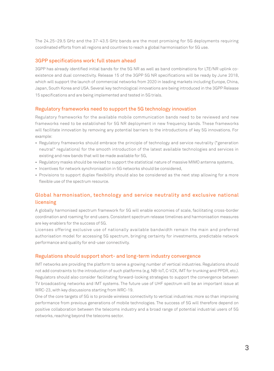The 24.25–29.5 GHz and the 37-43.5 GHz bands are the most promising for 5G deployments requiring coordinated efforts from all regions and countries to reach a global harmonisation for 5G use.

### 3GPP specifications work: full steam ahead

3GPP has already identified initial bands for the 5G NR as well as band combinations for LTE/NR uplink coexistence and dual connectivity. Release 15 of the 3GPP 5G NR specifications will be ready by June 2018, which will support the launch of commercial networks from 2020 in leading markets including Europe, China, Japan, South Korea and USA. Several key technological innovations are being introduced in the 3GPP Release 15 specifications and are being implemented and tested in 5G trials.

### Regulatory frameworks need to support the 5G technology innovation

Regulatory frameworks for the available mobile communication bands need to be reviewed and new frameworks need to be established for 5G NR deployment in new frequency bands. These frameworks will facilitate innovation by removing any potential barriers to the introductions of key 5G innovations. For example:

- Regulatory frameworks should embrace the principle of technology and service neutrality ("generation neutral" regulations) for the smooth introduction of the latest available technologies and services in existing and new bands that will be made available for 5G,
- Regulatory masks should be revised to support the statistical nature of massive MIMO antenna systems,
- Incentives for network synchronisation in 5G networks should be considered,
- Provisions to support duplex flexibility should also be considered as the next step allowing for a more flexible use of the spectrum resource.

## Global harmonisation, technology and service neutrality and exclusive national licensing

A globally harmonised spectrum framework for 5G will enable economies of scale, facilitating cross-border coordination and roaming for end users. Consistent spectrum release timelines and harmonisation measures are key enablers for the success of 5G.

Licenses offering exclusive use of nationally available bandwidth remain the main and preferred authorisation model for accessing 5G spectrum, bringing certainty for investments, predictable network performance and quality for end-user connectivity.

### Regulations should support short- and long-term industry convergence

IMT networks are providing the platform to serve a growing number of vertical industries. Regulations should not add constraints to the introduction of such platforms (e.g. NB-IoT, C-V2X, IMT for trunking and PPDR, etc.). Regulators should also consider facilitating forward-looking strategies to support the convergence between TV broadcasting networks and IMT systems. The future use of UHF spectrum will be an important issue at WRC-23, with key discussions starting from WRC-19.

One of the core targets of 5G is to provide wireless connectivity to vertical industries: more so than improving performance from previous generations of mobile technologies. The success of 5G will therefore depend on positive collaboration between the telecoms industry and a broad range of potential industrial users of 5G networks, reaching beyond the telecoms sector.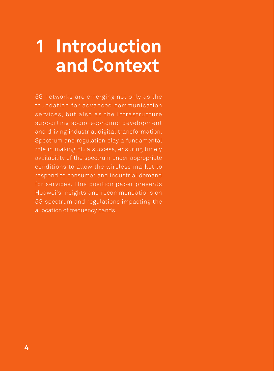## **1 Introduction and context**

5G networks are emerging not only as the foundation for advanced communication services, but also as the infrastructure supporting socio-economic development and driving industrial digital transformation. Spectrum and regulation play a fundamental role in making 5G a success, ensuring timely availability of the spectrum under appropriate conditions to allow the wireless market to respond to consumer and industrial demand for services. This position paper presents Huawei's insights and recommendations on 5G spectrum and regulations impacting the allocation of frequency bands.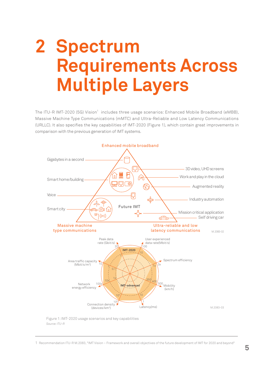## **2 Spectrum requirements across multiple layers**

The ITU-R IMT-2020 (5G) Vision<sup>1</sup> includes three usage scenarios: Enhanced Mobile Broadband (eMBB), Massive Machine Type Communications (mMTC) and Ultra-Reliable and Low Latency Communications (URLLC). It also specifies the key capabilities of IMT-2020 (Figure 1), which contain great improvements in comparison with the previous generation of IMT systems.



Figure 1: IMT-2020 usage scenarios and key capabilities *Source: ITU-R*

1 Recommendation ITU-R M.2083, "IMT Vision – Framework and overall objectives of the future development of IMT for 2020 and beyond"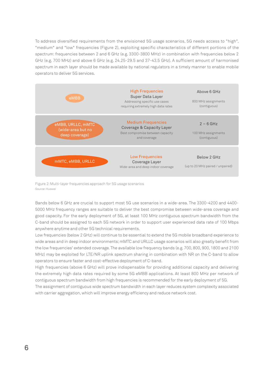To address diversified requirements from the envisioned 5G usage scenarios, 5G needs access to "high", "medium" and "low" frequencies (Figure 2), exploiting specific characteristics of different portions of the spectrum: frequencies between 2 and 6 GHz (e.g. 3300-3800 MHz) in combination with frequencies below 2 GHz (e.g. 700 MHz) and above 6 GHz (e.g. 24.25-29.5 and 37-43.5 GHz). A sufficient amount of harmonised spectrum in each layer should be made available by national regulators in a timely manner to enable mobile operators to deliver 5G services.



Figure 2: Multi-layer frequencies approach for 5G usage scenarios *Source: Huawei*

Bands below 6 GHz are crucial to support most 5G use scenarios in a wide-area. The 3300-4200 and 4400- 5000 MHz frequency ranges are suitable to deliver the best compromise between wide-area coverage and good capacity. For the early deployment of 5G, at least 100 MHz contiguous spectrum bandwidth from the C-band should be assigned to each 5G network in order to support user experienced data rate of 100 Mbps anywhere anytime and other 5G technical requirements.

Low frequencies (below 2 GHz) will continue to be essential to extend the 5G mobile broadband experience to wide areas and in deep indoor environments; mMTC and URLLC usage scenarios will also greatly benefit from the low frequencies' extended coverage. The available low frequency bands (e.g. 700, 800, 900, 1800 and 2100 MHz) may be exploited for LTE/NR uplink spectrum sharing in combination with NR on the C-band to allow operators to ensure faster and cost-effective deployment of C-band.

High frequencies (above 6 GHz) will prove indispensable for providing additional capacity and delivering the extremely high data rates required by some 5G eMBB applications. At least 800 MHz per network of contiguous spectrum bandwidth from high frequencies is recommended for the early deployment of 5G.

The assignment of contiguous wide spectrum bandwidth in each layer reduces system complexity associated with carrier aggregation, which will improve energy efficiency and reduce network cost.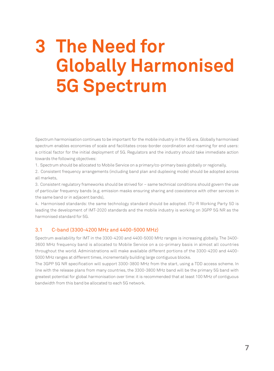## **3 The Need for globally harmonised 5G spectrum**

Spectrum harmonisation continues to be important for the mobile industry in the 5G era. Globally harmonised spectrum enables economies of scale and facilitates cross-border coordination and roaming for end users: a critical factor for the initial deployment of 5G. Regulators and the industry should take immediate action towards the following objectives:

1. Spectrum should be allocated to Mobile Service on a primary/co-primary basis globally or regionally,

2. Consistent frequency arrangements (including band plan and duplexing mode) should be adopted across all markets,

3. Consistent regulatory frameworks should be strived for – same technical conditions should govern the use of particular frequency bands (e.g. emission masks ensuring sharing and coexistence with other services in the same band or in adjacent bands),

4. Harmonised standards: the same technology standard should be adopted. ITU-R Working Party 5D is leading the development of IMT-2020 standards and the mobile industry is working on 3GPP 5G NR as the harmonised standard for 5G.

### 3.1 C-band (3300-4200 MHz and 4400-5000 MHz)

Spectrum availability for IMT in the 3300-4200 and 4400-5000 MHz ranges is increasing globally. The 3400- 3600 MHz frequency band is allocated to Mobile Service on a co-primary basis in almost all countries throughout the world. Administrations will make available different portions of the 3300-4200 and 4400- 5000 MHz ranges at different times, incrementally building large contiguous blocks.

The 3GPP 5G NR specification will support 3300-3800 MHz from the start, using a TDD access scheme. In line with the release plans from many countries, the 3300-3800 MHz band will be the primary 5G band with greatest potential for global harmonisation over time: it is recommended that at least 100 MHz of contiguous bandwidth from this band be allocated to each 5G network.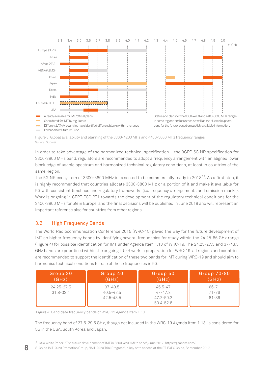

Figure 3: Global availability and planning of the 3300-4200 MHz and 4400-5000 MHz frequency ranges *Source: Huawei*

In order to take advantage of the harmonized technical specification – the 3GPP 5G NR specification for 3300-3800 MHz band, regulators are recommended to adopt a frequency arrangement with an aligned lower block edge of usable spectrum and harmonized technical regulatory conditions, at least in countries of the same Region.

The 5G NR ecosystem of 3300-3800 MHz is expected to be commercially ready in 2018<sup>2,3</sup>. As a first step, it is highly recommended that countries allocate 3300-3800 MHz or a portion of it and make it available for 5G with consistent timelines and regulatory frameworks (i.e. frequency arrangements and emission masks). Work is ongoing in CEPT ECC PT1 towards the development of the regulatory technical conditions for the 3400-3800 MHz for 5G in Europe, and the final decisions will be published in June 2018 and will represent an important reference also for countries from other regions.

## 3.2 High frequency bands

The World Radiocommunication Conference 2015 (WRC-15) paved the way for the future development of IMT on higher frequency bands by identifying several frequencies for study within the 24.25-86 GHz range (Figure 4) for possible identification for IMT under Agenda Item 1.13 of WRC-19. The 24.25-27.5 and 37-43.5 GHz bands are prioritised within the ongoing ITU-R work in preparation for WRC-19; all regions and countries are recommended to support the identification of these two bands for IMT during WRC-19 and should aim to harmonise technical conditions for use of these frequencies in 5G.

| Group 30                        | Group 40                                      | Group 50                                                 | <b>Group 70/80</b>              |
|---------------------------------|-----------------------------------------------|----------------------------------------------------------|---------------------------------|
| (GHz)                           | (GHz)                                         | (GHz)                                                    | (GHz)                           |
| $24.25 - 27.5$<br>$31.8 - 33.4$ | $37 - 40.5$<br>$40.5 - 42.5$<br>$42.5 - 43.5$ | $45.5 - 47$<br>$47 - 47.2$<br>$47.2 - 50.2$<br>50.4-52.6 | 66-71<br>$71 - 76$<br>$81 - 86$ |

Figure 4: Candidate frequency bands of WRC-19 Agenda Item 1.13

The frequency band of 27.5-29.5 GHz, though not included in the WRC-19 Agenda Item 1.13, is considered for 5G in the USA, South Korea and Japan.

3 China IMT-2020 Promotion Group, "IMT-2020 Trial Progress", a key note speech at the PT-EXPO China, September 2017

<sup>2</sup> GSA White Paper: "The future development of IMT in 3300-4200 MHz band", June 2017. https://gsacom.com/.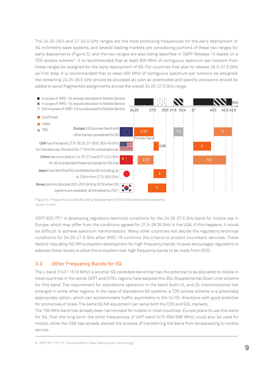The 24.25-29.5 and 37-43.5 GHz ranges are the most promising frequencies for the early deployment of 5G millimetre wave systems, and several leading markets are considering portions of these two ranges for early deployments (Figure 5), and the two ranges are also being specified in 3GPP Release 15 based on a TDD access scheme 4. It is recommended that at least 800 MHz of contiguous spectrum per network from these ranges be assigned for the early deployment of 5G. For countries that plan to release 26.5-27.5 GHz as first step, it is recommended that at least 400 MHz of contiguous spectrum per network be assigned; the remaining 24.25-26.5 GHz should be allocated as soon as practicable and specific provisions should be added to avoid fragmented assignments across the overall 24.25-27.5 GHz range.



Figure 5: Frequency bands for early deployment of 5G millimetre wave systems *Source: Huawei*

CEPT ECC PT1 is developing regulatory technical conditions for the 24.25-27.5 GHz band for mobile use in Europe, which may differ from the conditions agreed for 27.5-28.35 GHz in the USA. If this happens, it would be difficult to achieve spectrum harmonisation. Many other countries will decide the regulatory technical conditions for 24.25-27.5 GHz after WRC-19 confirms the criteria to protect incumbent services. These factors may delay 5G NR ecosystem development for high frequency bands. Huawei encourages regulators to address these issues to allow the ecosystem over high frequency bands to be ready from 2020.

## 3.3 Other frequency bands for 5G

The L-band (1427-1518 MHz) is another 5G candidate band that has the potential to be allocated to mobile in most countries in the world. CEPT and CITEL regions have adopted the SDL (Supplemental Down Link) scheme for this band. The requirement for standalone operation in the band (both UL and DL transmissions) has emerged in some other regions. In the case of standalone 5G systems, a TDD access scheme is a potentially appropriate option, which can accommodate traffic asymmetry in the UL/DL directions with good potential for economies of scale. The same 5G NR equipment can serve both the TDD and SDL markets.

The 700 MHz band has already been harmonised for mobile in most countries. Europe plans to use this band for 5G. Over the long term, the other frequencies of UHF band (470-694/698 MHz) could also be used for mobile, while the USA has already started the process of transferring the band from broadcasting to mobile service.

4 3GPP RP-172115, "Revised WID on New Radio Access Technology"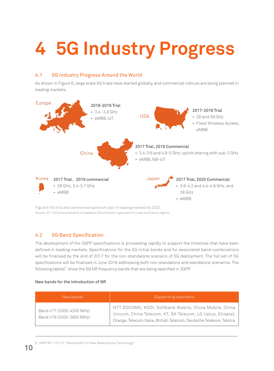# **4 5G industry Progress**

## 4.1 5G industry progress around the world

As shown in Figure 6, large scale 5G trials have started globally, and commercial rollouts are being planned in leading markets.



Figure 6: 5G trial and commercial spectrum plan in leading markets by 2020 *Source: 2017 Q2 announcements of respective 5G promotion organizations in key countries or regions*

## 4.2 5G Band Specification

The development of the 3GPP specifications is proceeding rapidly to support the timelines that have been defined in leading markets. Specifications for the 5G initial bands and for associated band-combinations will be finalised by the end of 2017 for the non-standalone scenario of 5G deployment. The full set of 5G specifications will be finalised in June 2018 addressing both non-standalone and standalone scenarios. The following tables<sup>5</sup> show the 5G NR frequency bands that are being specified in 3GPP.

### New bands for the introduction of NR

| New bands                                            | Supporting operators                                                                                                                                                                       |
|------------------------------------------------------|--------------------------------------------------------------------------------------------------------------------------------------------------------------------------------------------|
| Band n77 (3300-4200 MHz)<br>Band n78 (3300-3800 MHz) | NTT DOCOMO, KDDI, Softbank Mobile, China Mobile, China<br>Unicom, China Telecom, KT, SK Telecom, LG Uplus, Etisalat,<br>Orange, Telecom Italia, British Telecom, Deutsche Telekom, Telstra |

5 3GPP RP-172115, "Revised WID on New Radio Access Technology"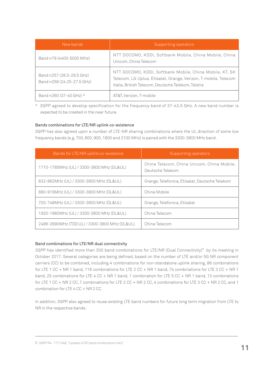| New bands                                               | Supporting operators                                                                                                                                                             |
|---------------------------------------------------------|----------------------------------------------------------------------------------------------------------------------------------------------------------------------------------|
| Band n79 (4400-5000 MHz)                                | NTT DOCOMO, KDDI, Softbank Mobile, China Mobile, China<br>Unicom, China Telecom                                                                                                  |
| Band n257 (26.5-29.5 GHz)<br>Band n258 (24.25-27.5 GHz) | NTT DOCOMO, KDDI, Softbank Mobile, China Mobile, KT, SK<br>Telecom, LG Uplus, Etisalat, Orange, Verizon, T-mobile, Telecom<br>Italia, British Telecom, Deutsche Telekom, Telstra |
| Band n260 (37-40 GHz) *                                 | AT&T, Verizon, T-mobile                                                                                                                                                          |

\* 3GPP agreed to develop specification for the frequency band of 37-43.5 GHz. A new band number is expected to be created in the near future.

### Bands combinations for LTE/NR uplink co-existence

3GPP has also agreed upon a number of LTE-NR sharing combinations where the UL direction of some low frequency bands (e.g. 700, 800, 900, 1800 and 2100 MHz) is paired with the 3300-3800 MHz band.

| Bands for LTE/NR uplink co-existence          | Supporting operators                                           |
|-----------------------------------------------|----------------------------------------------------------------|
| 1710-1785MHz (UL) / 3300-3800 MHz (DL&UL)     | China Telecom, China Unicom, China Mobile,<br>Deutsche Telekom |
| 832-862MHz (UL) / 3300-3800 MHz (DL&UL)       | Orange, Telefonica, Etisalat, Deutsche Telekom                 |
| 880-915MHz (UL) / 3300-3800 MHz (DL&UL)       | China Mobile                                                   |
| 703-748MHz (UL) / 3300-3800 MHz (DL&UL)       | Orange, Telefonica, Etisalat                                   |
| 1920-1980MHz (UL) / 3300-3800 MHz (DL&UL)     | China Telecom                                                  |
| 2496-2690MHz (TDD UL) / 3300-3800 MHz (DL&UL) | China Telecom                                                  |

### Band combinations for LTE/NR dual connectivity

3GPP has identified more than 300 band-combinations for LTE/NR (Dual Connectivity)<sup>6</sup> by its meeting in October 2017. Several categories are being defined, based on the number of LTE and/or 5G NR component carriers (CC) to be combined, including 4 combinations for non-standalone uplink sharing, 86 combinations for LTE 1 CC + NR 1 band, 118 combinations for LTE 2 CC + NR 1 band, 74 combinations for LTE 3 CC + NR 1 band, 25 combinations for LTE 4 CC + NR 1 band, 1 combination for LTE 5 CC + NR 1 band, 13 combinations for LTE 1 CC + NR 2 CC, 7 combinations for LTE 2 CC + NR 2 CC, 4 combinations for LTE 3 CC + NR 2 CC, and 1 combination for LTE 4 CC + NR 2 CC.

In addition, 3GPP also agreed to reuse existing LTE band numbers for future long term migration from LTE to NR in the respective bands.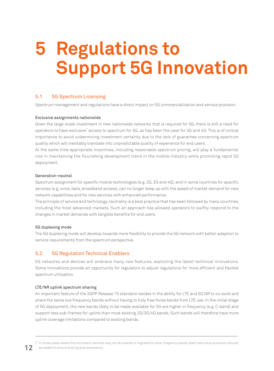## **5 Regulations to support 5G innovation**

## 5.1 5G Spectrum Licensing

Spectrum management and regulations have a direct impact on 5G commercialization and service provision.

#### Exclusive assignments nationwide

Given the large-scale investment in new nationwide networks that is required for 5G, there is still a need for operators to have exclusive<sup>7</sup> access to spectrum for 5G, as has been the case for 3G and 4G. This is of critical importance to avoid undermining investment certainty due to the lack of guarantee concerning spectrum quality which will inevitably translate into unpredictable quality of experience for end users.

At the same time appropriate incentives, including reasonable spectrum pricing, will play a fundamental role in maintaining the flourishing development trend in the mobile industry while promoting rapid 5G deployment.

#### Generation-neutral

Spectrum assignment for specific mobile technologies (e.g. 2G, 3G and 4G), and in some countries for specific services (e.g. voice, data, broadband access), can no longer keep up with the speed of market demand for new network capabilities and for new services with enhanced performance.

The principle of service and technology neutrality is a best practice that has been followed by many countries, including the most advanced markets. Such an approach has allowed operators to swiftly respond to the changes in market demands with tangible benefits for end users.

### 5G duplexing mode

The 5G duplexing mode will develop towards more flexibility to provide the 5G network with better adaption to service requirements from the spectrum perspective.

### 5.2 5G Regulation Technical Enablers

5G networks and devices will embrace many new features, exploiting the latest technical innovations. Some innovations provide an opportunity for regulators to adjust regulations for more efficient and flexible spectrum utilisation.

### LTE/NR uplink spectrum sharing

An important feature of the 3GPP Release 15 standard resides in the ability for LTE and 5G NR to co-exist and share the same low frequency bands without having to fully free those bands from LTE use. In the initial stage of 5G deployment, the new bands likely to be made available for 5G are higher in frequency (e.g. C-band) and support less sub-frames for uplink than most existing 2G/3G/4G bands. Such bands will therefore have more uplink coverage limitations compared to existing bands.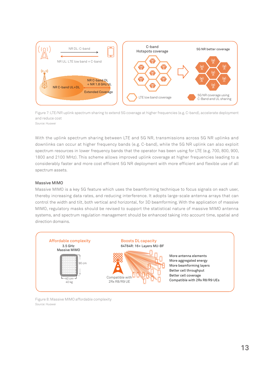

Figure 7: LTE/NR uplink spectrum sharing to extend 5G coverage at higher frequencies (e.g. C-band), accelerate deployment and reduce cost *Source: Huawei*

With the uplink spectrum sharing between LTE and 5G NR, transmissions across 5G NR uplinks and downlinks can occur at higher frequency bands (e.g. C-band), while the 5G NR uplink can also exploit spectrum resources in lower frequency bands that the operator has been using for LTE (e.g. 700, 800, 900, 1800 and 2100 MHz). This scheme allows improved uplink coverage at higher frequencies leading to a considerably faster and more cost efficient 5G NR deployment with more efficient and flexible use of all spectrum assets.

#### Massive MIMO

Massive MIMO is a key 5G feature which uses the beamforming technique to focus signals on each user, thereby increasing data rates, and reducing interference. It adopts large-scale antenna arrays that can control the width and tilt, both vertical and horizontal, for 3D beamforming. With the application of massive MIMO, regulatory masks should be revised to support the statistical nature of massive MIMO antenna systems, and spectrum regulation management should be enhanced taking into account time, spatial and direction domains.



Figure 8: Massive MIMO affordable complexity *Source: Huawei*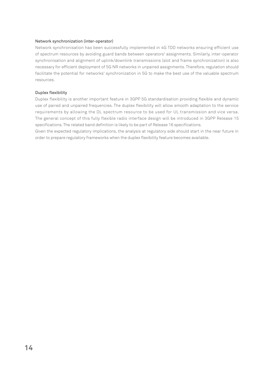#### Network synchronization (inter-operator)

Network synchronisation has been successfully implemented in 4G TDD networks ensuring efficient use of spectrum resources by avoiding guard bands between operators' assignments. Similarly, inter-operator synchronisation and alignment of uplink/downlink transmissions (slot and frame synchronization) is also necessary for efficient deployment of 5G NR networks in unpaired assignments. Therefore, regulation should facilitate the potential for networks' synchronization in 5G to make the best use of the valuable spectrum resources.

#### Duplex flexibility

Duplex flexibility is another important feature in 3GPP 5G standardisation providing flexible and dynamic use of paired and unpaired frequencies. The duplex flexibility will allow smooth adaptation to the service requirements by allowing the DL spectrum resource to be used for UL transmission and vice versa. The general concept of this fully flexible radio interface design will be introduced in 3GPP Release 15 specifications. The related band definition is likely to be part of Release 16 specifications.

Given the expected regulatory implications, the analysis at regulatory side should start in the near future in order to prepare regulatory frameworks when the duplex flexibility feature becomes available.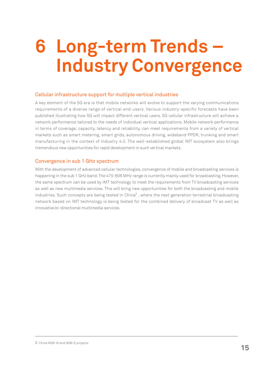## **6 Long-term Trends – Industry Convergence**

### Cellular infrastructure support for multiple vertical industries

A key element of the 5G era is that mobile networks will evolve to support the varying communications requirements of a diverse range of vertical end-users. Various industry-specific forecasts have been published illustrating how 5G will impact different vertical users. 5G cellular infrastructure will achieve a network performance tailored to the needs of individual vertical applications. Mobile network performance in terms of coverage, capacity, latency and reliability, can meet requirements from a variety of vertical markets such as smart metering, smart grids, autonomous driving, wideband PPDR, trunking and smart manufacturing in the context of Industry 4.0. The well-established global IMT ecosystem also brings tremendous new opportunities for rapid development in such vertical markets.

### Convergence in sub 1 GHz spectrum

With the development of advanced cellular technologies, convergence of mobile and broadcasting services is happening in the sub 1 GHz band. The 470-806 MHz range is currently mainly used for broadcasting. However, the same spectrum can be used by IMT technology to meet the requirements from TV broadcasting services as well as new multimedia services. This will bring new opportunities for both the broadcasting and mobile industries. Such concepts are being tested in China<sup>8</sup>, where the next generation terrestrial broadcasting network based on IMT technology is being tested for the combined delivery of broadcast TV as well as innovative bi-directional multimedia services.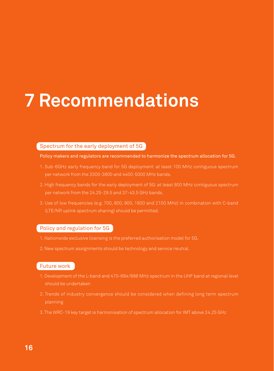## **7 Recommendations**

### Spectrum for the early deployment of 5G

Policy makers and regulators are recommended to harmonize the spectrum allocation for 5G.

- 1. Sub-6GHz early frequency band for 5G deployment: at least 100 MHz contiguous spectrum per network from the 3300-3800 and 4400-5000 MHz bands.
- 2. High frequency bands for the early deployment of 5G: at least 800 MHz contiguous spectrum
- 3. Use of low frequencies (e.g. 700, 800, 900, 1800 and 2100 MHz) in combination with C-band (LTE/NR uplink spectrum sharing) should be permitted.

## Policy and regulation for 5G

- 1. Nationwide exclusive licensing is the preferred authorisation model for 5G.
- 2. New spectrum assignments should be technology and service neutral.

### Future work

- 1. Development of the L-band and 470-694/698 MHz spectrum in the UHF band at regional level should be undertaken
- 2. Trends of industry convergence should be considered when defining long term spectrum
- 3. The WRC-19 key target is harmonisation of spectrum allocation for IMT above 24.25 GHz